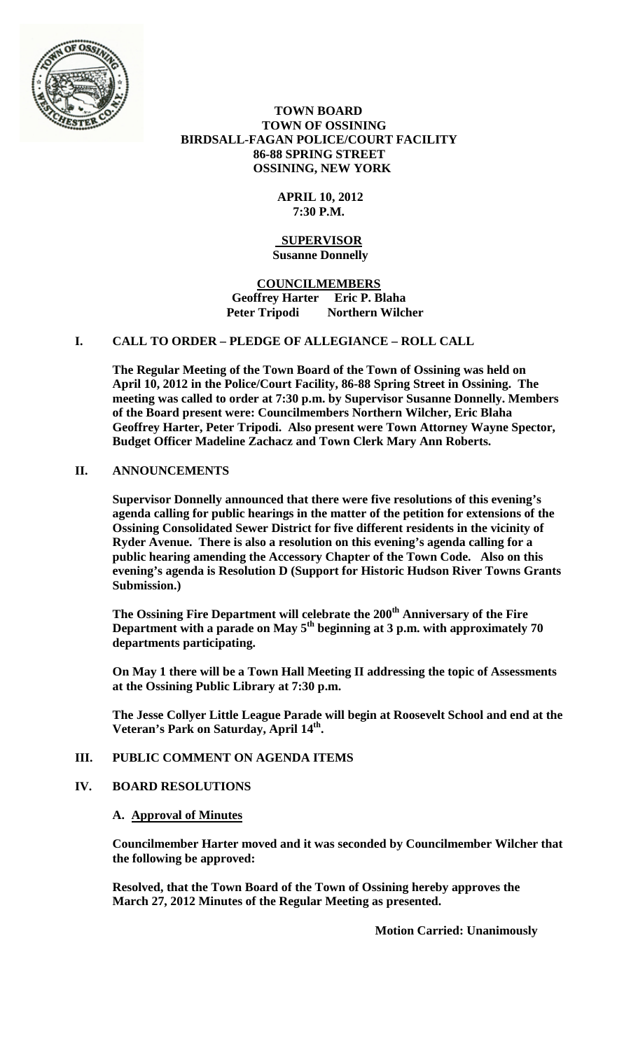

 **TOWN BOARD TOWN OF OSSINING BIRDSALL-FAGAN POLICE/COURT FACILITY 86-88 SPRING STREET OSSINING, NEW YORK**

## **APRIL 10, 2012 7:30 P.M.**

#### **SUPERVISOR Susanne Donnelly**

**COUNCILMEMBERS Geoffrey Harter Eric P. Blaha Peter Tripodi Northern Wilcher**

# **I. CALL TO ORDER – PLEDGE OF ALLEGIANCE – ROLL CALL**

**The Regular Meeting of the Town Board of the Town of Ossining was held on April 10, 2012 in the Police/Court Facility, 86-88 Spring Street in Ossining. The meeting was called to order at 7:30 p.m. by Supervisor Susanne Donnelly. Members of the Board present were: Councilmembers Northern Wilcher, Eric Blaha Geoffrey Harter, Peter Tripodi. Also present were Town Attorney Wayne Spector, Budget Officer Madeline Zachacz and Town Clerk Mary Ann Roberts.**

## **II. ANNOUNCEMENTS**

**Supervisor Donnelly announced that there were five resolutions of this evening's agenda calling for public hearings in the matter of the petition for extensions of the Ossining Consolidated Sewer District for five different residents in the vicinity of Ryder Avenue. There is also a resolution on this evening's agenda calling for a public hearing amending the Accessory Chapter of the Town Code. Also on this evening's agenda is Resolution D (Support for Historic Hudson River Towns Grants Submission.)**

**The Ossining Fire Department will celebrate the 200th Anniversary of the Fire**  Department with a parade on May 5<sup>th</sup> beginning at 3 p.m. with approximately 70 **departments participating.** 

**On May 1 there will be a Town Hall Meeting II addressing the topic of Assessments at the Ossining Public Library at 7:30 p.m.** 

**The Jesse Collyer Little League Parade will begin at Roosevelt School and end at the Veteran's Park on Saturday, April 14th.**

## **III. PUBLIC COMMENT ON AGENDA ITEMS**

## **IV. BOARD RESOLUTIONS**

## **A. Approval of Minutes**

**Councilmember Harter moved and it was seconded by Councilmember Wilcher that the following be approved:**

**Resolved, that the Town Board of the Town of Ossining hereby approves the March 27, 2012 Minutes of the Regular Meeting as presented.**

**Motion Carried: Unanimously**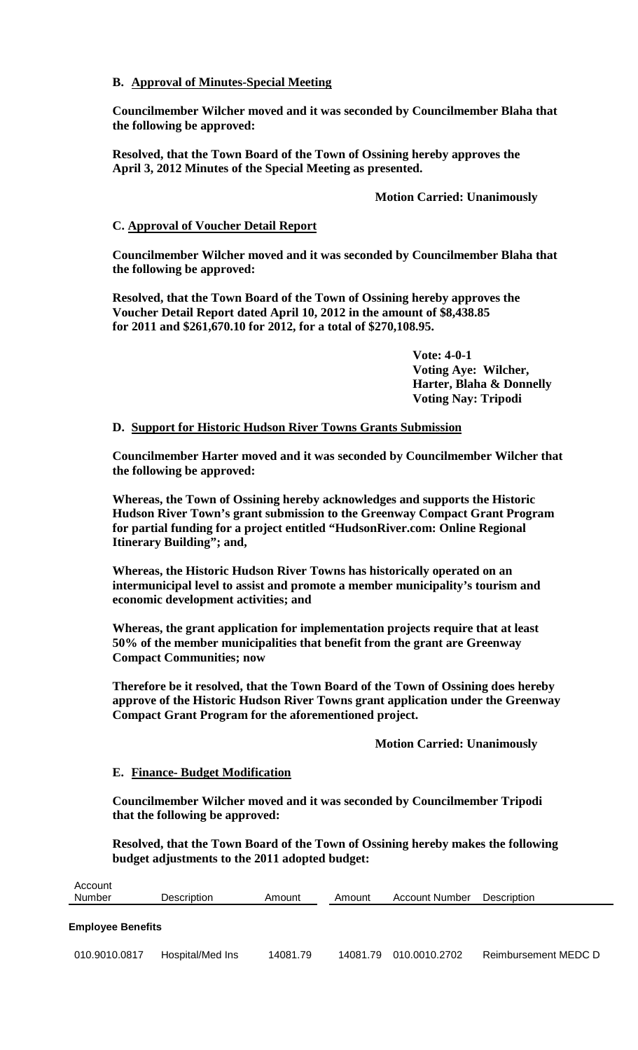# **B. Approval of Minutes-Special Meeting**

**Councilmember Wilcher moved and it was seconded by Councilmember Blaha that the following be approved:**

**Resolved, that the Town Board of the Town of Ossining hereby approves the April 3, 2012 Minutes of the Special Meeting as presented.**

## **Motion Carried: Unanimously**

## **C. Approval of Voucher Detail Report**

**Councilmember Wilcher moved and it was seconded by Councilmember Blaha that the following be approved:**

**Resolved, that the Town Board of the Town of Ossining hereby approves the Voucher Detail Report dated April 10, 2012 in the amount of \$8,438.85 for 2011 and \$261,670.10 for 2012, for a total of \$270,108.95.**

> **Vote: 4-0-1 Voting Aye: Wilcher, Harter, Blaha & Donnelly Voting Nay: Tripodi**

## **D. Support for Historic Hudson River Towns Grants Submission**

**Councilmember Harter moved and it was seconded by Councilmember Wilcher that the following be approved:**

**Whereas, the Town of Ossining hereby acknowledges and supports the Historic Hudson River Town's grant submission to the Greenway Compact Grant Program for partial funding for a project entitled "HudsonRiver.com: Online Regional Itinerary Building"; and,**

**Whereas, the Historic Hudson River Towns has historically operated on an intermunicipal level to assist and promote a member municipality's tourism and economic development activities; and**

**Whereas, the grant application for implementation projects require that at least 50% of the member municipalities that benefit from the grant are Greenway Compact Communities; now**

**Therefore be it resolved, that the Town Board of the Town of Ossining does hereby approve of the Historic Hudson River Towns grant application under the Greenway Compact Grant Program for the aforementioned project.**

**Motion Carried: Unanimously**

## **E. Finance- Budget Modification**

**Councilmember Wilcher moved and it was seconded by Councilmember Tripodi that the following be approved:**

**Resolved, that the Town Board of the Town of Ossining hereby makes the following budget adjustments to the 2011 adopted budget:**

| Account<br>Number        | Description      | Amount   | Amount   | Account Number | <b>Description</b>   |
|--------------------------|------------------|----------|----------|----------------|----------------------|
| <b>Employee Benefits</b> |                  |          |          |                |                      |
| 010.9010.0817            | Hospital/Med Ins | 14081.79 | 14081.79 | 010.0010.2702  | Reimbursement MEDC D |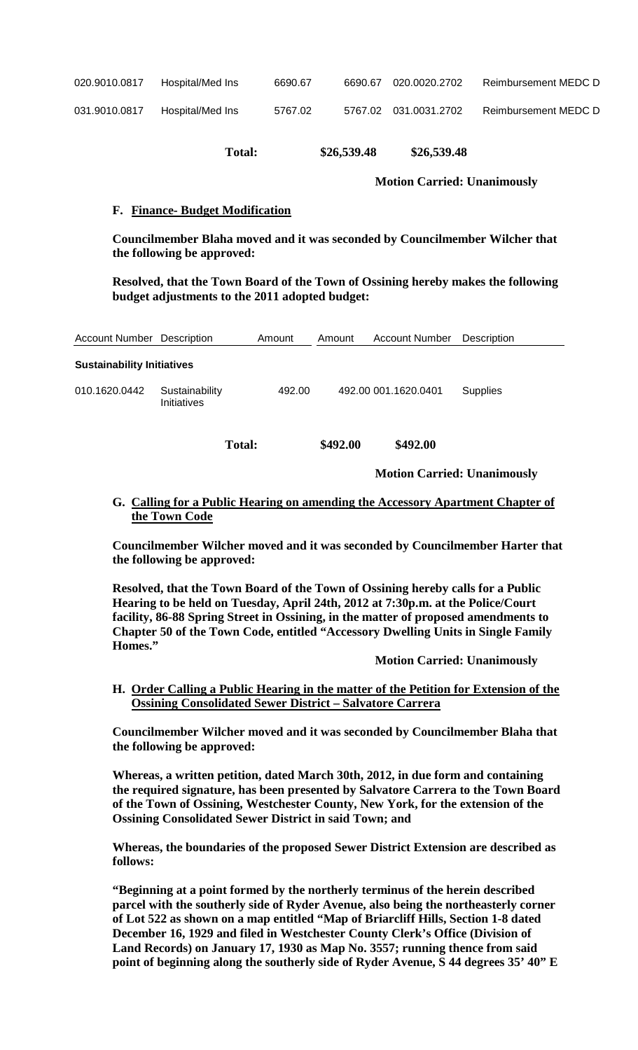| 020.9010.0817 | Hospital/Med Ins | 6690.67 | 6690.67 020.0020.2702 | Reimbursement MEDC D |
|---------------|------------------|---------|-----------------------|----------------------|
|               |                  |         |                       |                      |

| 031.9010.0817 | Hospital/Med Ins | 5767.02 |  | 5767.02  031.0031.2702 | <b>Reimbursement MEDC D</b> |
|---------------|------------------|---------|--|------------------------|-----------------------------|
|---------------|------------------|---------|--|------------------------|-----------------------------|

**Total: \$26,539.48 \$26,539.48**

**Motion Carried: Unanimously**

# **F. Finance- Budget Modification**

**Councilmember Blaha moved and it was seconded by Councilmember Wilcher that the following be approved:**

**Resolved, that the Town Board of the Town of Ossining hereby makes the following budget adjustments to the 2011 adopted budget:**

| <b>Account Number Description</b> |                               | Amount        | Amount   | <b>Account Number</b> | Description     |
|-----------------------------------|-------------------------------|---------------|----------|-----------------------|-----------------|
| <b>Sustainability Initiatives</b> |                               |               |          |                       |                 |
| 010.1620.0442                     | Sustainability<br>Initiatives | 492.00        |          | 492.00 001.1620.0401  | <b>Supplies</b> |
|                                   |                               | <b>Total:</b> | \$492.00 | \$492.00              |                 |

**Motion Carried: Unanimously**

**G. Calling for a Public Hearing on amending the Accessory Apartment Chapter of the Town Code** 

**Councilmember Wilcher moved and it was seconded by Councilmember Harter that the following be approved:**

**Resolved, that the Town Board of the Town of Ossining hereby calls for a Public Hearing to be held on Tuesday, April 24th, 2012 at 7:30p.m. at the Police/Court facility, 86-88 Spring Street in Ossining, in the matter of proposed amendments to Chapter 50 of the Town Code, entitled "Accessory Dwelling Units in Single Family Homes."**

**Motion Carried: Unanimously**

**H. Order Calling a Public Hearing in the matter of the Petition for Extension of the Ossining Consolidated Sewer District – Salvatore Carrera**

**Councilmember Wilcher moved and it was seconded by Councilmember Blaha that the following be approved:**

**Whereas, a written petition, dated March 30th, 2012, in due form and containing the required signature, has been presented by Salvatore Carrera to the Town Board of the Town of Ossining, Westchester County, New York, for the extension of the Ossining Consolidated Sewer District in said Town; and** 

**Whereas, the boundaries of the proposed Sewer District Extension are described as follows:** 

**"Beginning at a point formed by the northerly terminus of the herein described parcel with the southerly side of Ryder Avenue, also being the northeasterly corner of Lot 522 as shown on a map entitled "Map of Briarcliff Hills, Section 1-8 dated December 16, 1929 and filed in Westchester County Clerk's Office (Division of Land Records) on January 17, 1930 as Map No. 3557; running thence from said point of beginning along the southerly side of Ryder Avenue, S 44 degrees 35' 40" E**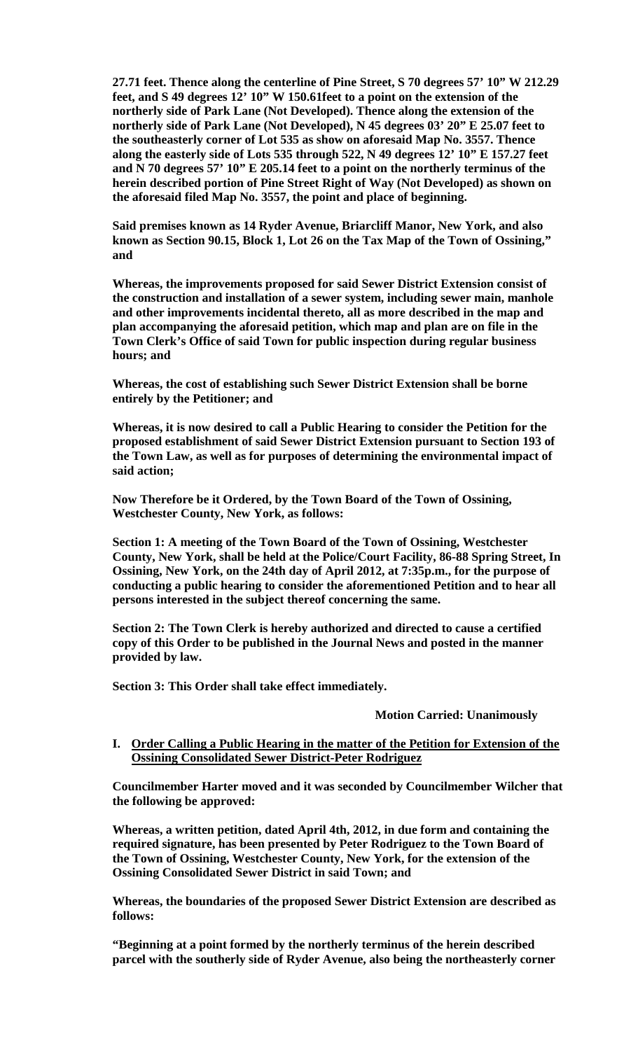**27.71 feet. Thence along the centerline of Pine Street, S 70 degrees 57' 10" W 212.29 feet, and S 49 degrees 12' 10" W 150.61feet to a point on the extension of the northerly side of Park Lane (Not Developed). Thence along the extension of the northerly side of Park Lane (Not Developed), N 45 degrees 03' 20" E 25.07 feet to the southeasterly corner of Lot 535 as show on aforesaid Map No. 3557. Thence along the easterly side of Lots 535 through 522, N 49 degrees 12' 10" E 157.27 feet and N 70 degrees 57' 10" E 205.14 feet to a point on the northerly terminus of the herein described portion of Pine Street Right of Way (Not Developed) as shown on the aforesaid filed Map No. 3557, the point and place of beginning.** 

**Said premises known as 14 Ryder Avenue, Briarcliff Manor, New York, and also known as Section 90.15, Block 1, Lot 26 on the Tax Map of the Town of Ossining," and** 

**Whereas, the improvements proposed for said Sewer District Extension consist of the construction and installation of a sewer system, including sewer main, manhole and other improvements incidental thereto, all as more described in the map and plan accompanying the aforesaid petition, which map and plan are on file in the Town Clerk's Office of said Town for public inspection during regular business hours; and**

**Whereas, the cost of establishing such Sewer District Extension shall be borne entirely by the Petitioner; and** 

**Whereas, it is now desired to call a Public Hearing to consider the Petition for the proposed establishment of said Sewer District Extension pursuant to Section 193 of the Town Law, as well as for purposes of determining the environmental impact of said action;** 

**Now Therefore be it Ordered, by the Town Board of the Town of Ossining, Westchester County, New York, as follows:** 

**Section 1: A meeting of the Town Board of the Town of Ossining, Westchester County, New York, shall be held at the Police/Court Facility, 86-88 Spring Street, In Ossining, New York, on the 24th day of April 2012, at 7:35p.m., for the purpose of conducting a public hearing to consider the aforementioned Petition and to hear all persons interested in the subject thereof concerning the same.** 

**Section 2: The Town Clerk is hereby authorized and directed to cause a certified copy of this Order to be published in the Journal News and posted in the manner provided by law.** 

**Section 3: This Order shall take effect immediately.**

#### **Motion Carried: Unanimously**

## **I. Order Calling a Public Hearing in the matter of the Petition for Extension of the Ossining Consolidated Sewer District-Peter Rodriguez**

**Councilmember Harter moved and it was seconded by Councilmember Wilcher that the following be approved:**

**Whereas, a written petition, dated April 4th, 2012, in due form and containing the required signature, has been presented by Peter Rodriguez to the Town Board of the Town of Ossining, Westchester County, New York, for the extension of the Ossining Consolidated Sewer District in said Town; and** 

**Whereas, the boundaries of the proposed Sewer District Extension are described as follows:** 

**"Beginning at a point formed by the northerly terminus of the herein described parcel with the southerly side of Ryder Avenue, also being the northeasterly corner**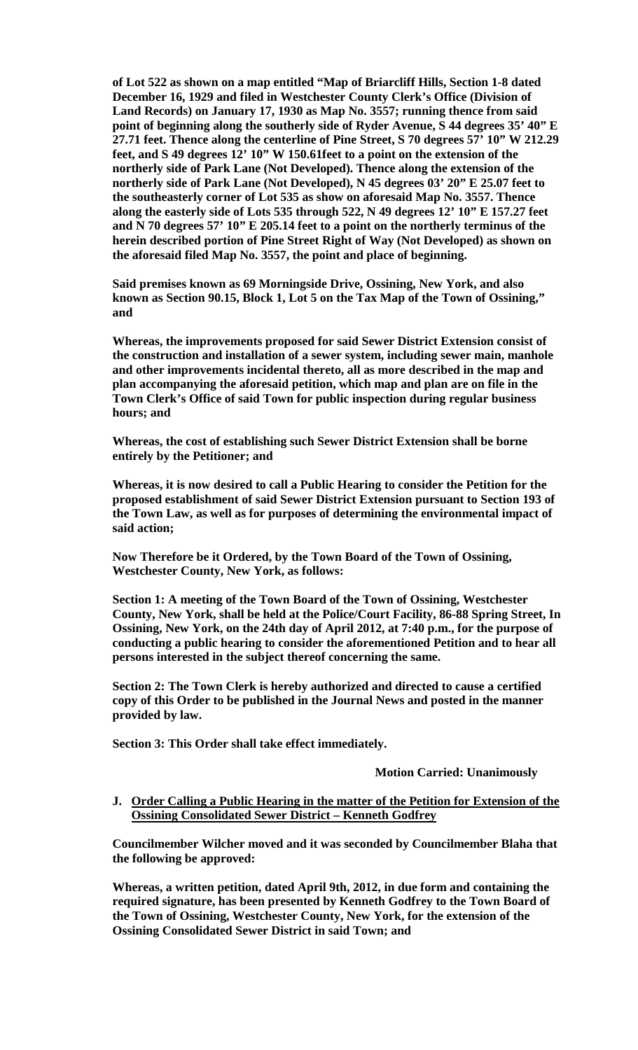**of Lot 522 as shown on a map entitled "Map of Briarcliff Hills, Section 1-8 dated December 16, 1929 and filed in Westchester County Clerk's Office (Division of Land Records) on January 17, 1930 as Map No. 3557; running thence from said point of beginning along the southerly side of Ryder Avenue, S 44 degrees 35' 40" E 27.71 feet. Thence along the centerline of Pine Street, S 70 degrees 57' 10" W 212.29 feet, and S 49 degrees 12' 10" W 150.61feet to a point on the extension of the northerly side of Park Lane (Not Developed). Thence along the extension of the northerly side of Park Lane (Not Developed), N 45 degrees 03' 20" E 25.07 feet to the southeasterly corner of Lot 535 as show on aforesaid Map No. 3557. Thence along the easterly side of Lots 535 through 522, N 49 degrees 12' 10" E 157.27 feet and N 70 degrees 57' 10" E 205.14 feet to a point on the northerly terminus of the herein described portion of Pine Street Right of Way (Not Developed) as shown on the aforesaid filed Map No. 3557, the point and place of beginning.** 

**Said premises known as 69 Morningside Drive, Ossining, New York, and also known as Section 90.15, Block 1, Lot 5 on the Tax Map of the Town of Ossining," and** 

**Whereas, the improvements proposed for said Sewer District Extension consist of the construction and installation of a sewer system, including sewer main, manhole and other improvements incidental thereto, all as more described in the map and plan accompanying the aforesaid petition, which map and plan are on file in the Town Clerk's Office of said Town for public inspection during regular business hours; and**

**Whereas, the cost of establishing such Sewer District Extension shall be borne entirely by the Petitioner; and** 

**Whereas, it is now desired to call a Public Hearing to consider the Petition for the proposed establishment of said Sewer District Extension pursuant to Section 193 of the Town Law, as well as for purposes of determining the environmental impact of said action;** 

**Now Therefore be it Ordered, by the Town Board of the Town of Ossining, Westchester County, New York, as follows:** 

**Section 1: A meeting of the Town Board of the Town of Ossining, Westchester County, New York, shall be held at the Police/Court Facility, 86-88 Spring Street, In Ossining, New York, on the 24th day of April 2012, at 7:40 p.m., for the purpose of conducting a public hearing to consider the aforementioned Petition and to hear all persons interested in the subject thereof concerning the same.** 

**Section 2: The Town Clerk is hereby authorized and directed to cause a certified copy of this Order to be published in the Journal News and posted in the manner provided by law.** 

**Section 3: This Order shall take effect immediately.**

#### **Motion Carried: Unanimously**

**J. Order Calling a Public Hearing in the matter of the Petition for Extension of the Ossining Consolidated Sewer District – Kenneth Godfrey**

**Councilmember Wilcher moved and it was seconded by Councilmember Blaha that the following be approved:**

**Whereas, a written petition, dated April 9th, 2012, in due form and containing the required signature, has been presented by Kenneth Godfrey to the Town Board of the Town of Ossining, Westchester County, New York, for the extension of the Ossining Consolidated Sewer District in said Town; and**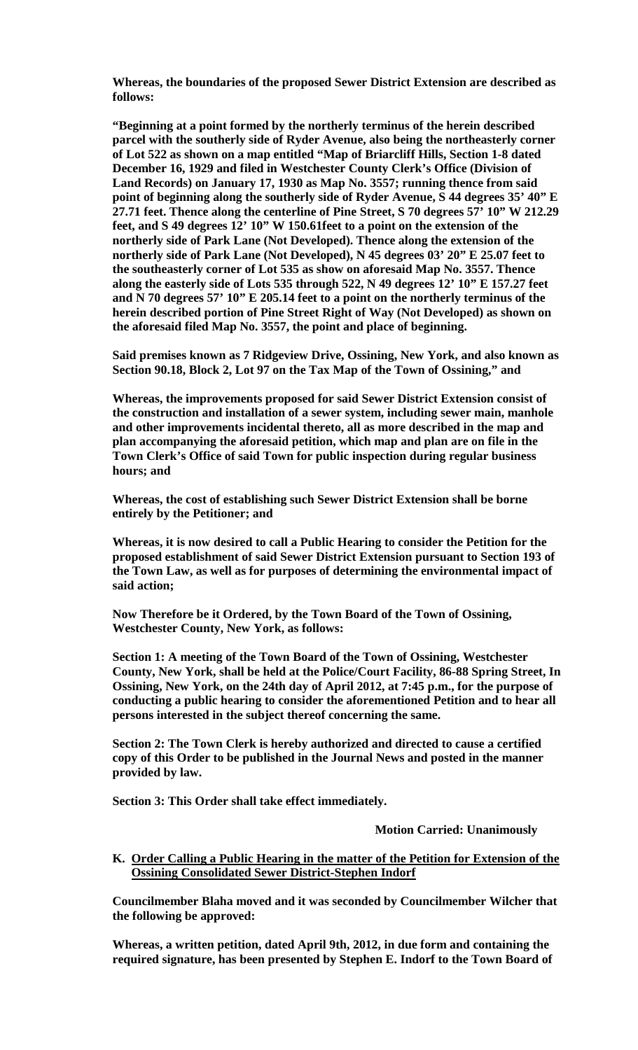**Whereas, the boundaries of the proposed Sewer District Extension are described as follows:** 

**"Beginning at a point formed by the northerly terminus of the herein described parcel with the southerly side of Ryder Avenue, also being the northeasterly corner of Lot 522 as shown on a map entitled "Map of Briarcliff Hills, Section 1-8 dated December 16, 1929 and filed in Westchester County Clerk's Office (Division of Land Records) on January 17, 1930 as Map No. 3557; running thence from said point of beginning along the southerly side of Ryder Avenue, S 44 degrees 35' 40" E 27.71 feet. Thence along the centerline of Pine Street, S 70 degrees 57' 10" W 212.29 feet, and S 49 degrees 12' 10" W 150.61feet to a point on the extension of the northerly side of Park Lane (Not Developed). Thence along the extension of the northerly side of Park Lane (Not Developed), N 45 degrees 03' 20" E 25.07 feet to the southeasterly corner of Lot 535 as show on aforesaid Map No. 3557. Thence along the easterly side of Lots 535 through 522, N 49 degrees 12' 10" E 157.27 feet and N 70 degrees 57' 10" E 205.14 feet to a point on the northerly terminus of the herein described portion of Pine Street Right of Way (Not Developed) as shown on the aforesaid filed Map No. 3557, the point and place of beginning.** 

**Said premises known as 7 Ridgeview Drive, Ossining, New York, and also known as Section 90.18, Block 2, Lot 97 on the Tax Map of the Town of Ossining," and** 

**Whereas, the improvements proposed for said Sewer District Extension consist of the construction and installation of a sewer system, including sewer main, manhole and other improvements incidental thereto, all as more described in the map and plan accompanying the aforesaid petition, which map and plan are on file in the Town Clerk's Office of said Town for public inspection during regular business hours; and**

**Whereas, the cost of establishing such Sewer District Extension shall be borne entirely by the Petitioner; and** 

**Whereas, it is now desired to call a Public Hearing to consider the Petition for the proposed establishment of said Sewer District Extension pursuant to Section 193 of the Town Law, as well as for purposes of determining the environmental impact of said action;** 

**Now Therefore be it Ordered, by the Town Board of the Town of Ossining, Westchester County, New York, as follows:** 

**Section 1: A meeting of the Town Board of the Town of Ossining, Westchester County, New York, shall be held at the Police/Court Facility, 86-88 Spring Street, In Ossining, New York, on the 24th day of April 2012, at 7:45 p.m., for the purpose of conducting a public hearing to consider the aforementioned Petition and to hear all persons interested in the subject thereof concerning the same.** 

**Section 2: The Town Clerk is hereby authorized and directed to cause a certified copy of this Order to be published in the Journal News and posted in the manner provided by law.** 

**Section 3: This Order shall take effect immediately.**

**Motion Carried: Unanimously**

**K. Order Calling a Public Hearing in the matter of the Petition for Extension of the Ossining Consolidated Sewer District-Stephen Indorf**

**Councilmember Blaha moved and it was seconded by Councilmember Wilcher that the following be approved:**

**Whereas, a written petition, dated April 9th, 2012, in due form and containing the required signature, has been presented by Stephen E. Indorf to the Town Board of**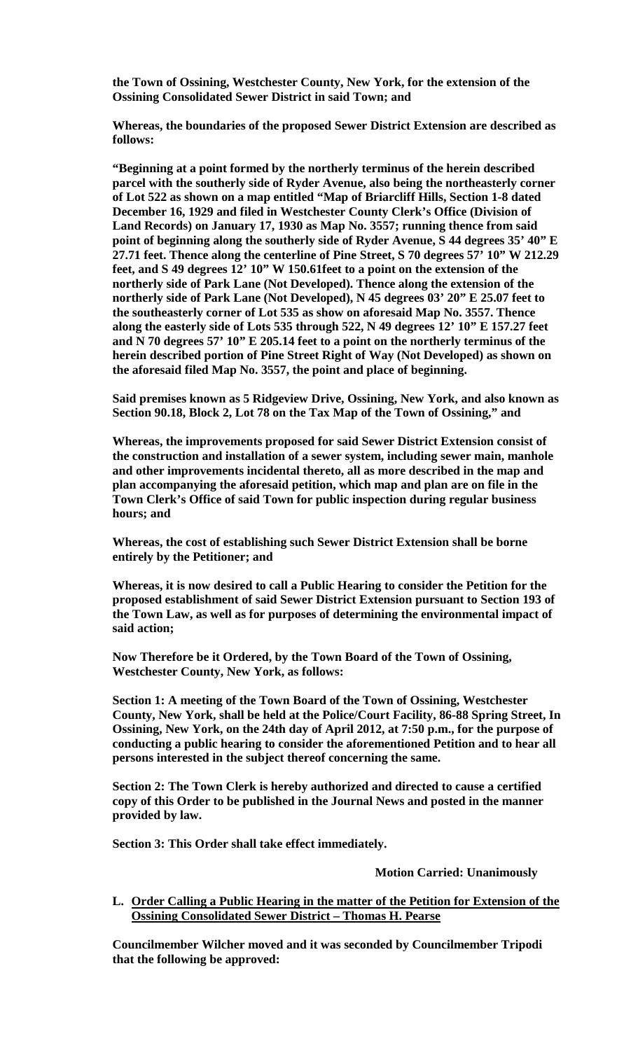**the Town of Ossining, Westchester County, New York, for the extension of the Ossining Consolidated Sewer District in said Town; and** 

**Whereas, the boundaries of the proposed Sewer District Extension are described as follows:** 

**"Beginning at a point formed by the northerly terminus of the herein described parcel with the southerly side of Ryder Avenue, also being the northeasterly corner of Lot 522 as shown on a map entitled "Map of Briarcliff Hills, Section 1-8 dated December 16, 1929 and filed in Westchester County Clerk's Office (Division of Land Records) on January 17, 1930 as Map No. 3557; running thence from said point of beginning along the southerly side of Ryder Avenue, S 44 degrees 35' 40" E 27.71 feet. Thence along the centerline of Pine Street, S 70 degrees 57' 10" W 212.29 feet, and S 49 degrees 12' 10" W 150.61feet to a point on the extension of the northerly side of Park Lane (Not Developed). Thence along the extension of the northerly side of Park Lane (Not Developed), N 45 degrees 03' 20" E 25.07 feet to the southeasterly corner of Lot 535 as show on aforesaid Map No. 3557. Thence along the easterly side of Lots 535 through 522, N 49 degrees 12' 10" E 157.27 feet and N 70 degrees 57' 10" E 205.14 feet to a point on the northerly terminus of the herein described portion of Pine Street Right of Way (Not Developed) as shown on the aforesaid filed Map No. 3557, the point and place of beginning.** 

**Said premises known as 5 Ridgeview Drive, Ossining, New York, and also known as Section 90.18, Block 2, Lot 78 on the Tax Map of the Town of Ossining," and** 

**Whereas, the improvements proposed for said Sewer District Extension consist of the construction and installation of a sewer system, including sewer main, manhole and other improvements incidental thereto, all as more described in the map and plan accompanying the aforesaid petition, which map and plan are on file in the Town Clerk's Office of said Town for public inspection during regular business hours; and**

**Whereas, the cost of establishing such Sewer District Extension shall be borne entirely by the Petitioner; and** 

**Whereas, it is now desired to call a Public Hearing to consider the Petition for the proposed establishment of said Sewer District Extension pursuant to Section 193 of the Town Law, as well as for purposes of determining the environmental impact of said action;** 

**Now Therefore be it Ordered, by the Town Board of the Town of Ossining, Westchester County, New York, as follows:** 

**Section 1: A meeting of the Town Board of the Town of Ossining, Westchester County, New York, shall be held at the Police/Court Facility, 86-88 Spring Street, In Ossining, New York, on the 24th day of April 2012, at 7:50 p.m., for the purpose of conducting a public hearing to consider the aforementioned Petition and to hear all persons interested in the subject thereof concerning the same.** 

**Section 2: The Town Clerk is hereby authorized and directed to cause a certified copy of this Order to be published in the Journal News and posted in the manner provided by law.** 

**Section 3: This Order shall take effect immediately.**

**Motion Carried: Unanimously**

**L. Order Calling a Public Hearing in the matter of the Petition for Extension of the Ossining Consolidated Sewer District – Thomas H. Pearse**

**Councilmember Wilcher moved and it was seconded by Councilmember Tripodi that the following be approved:**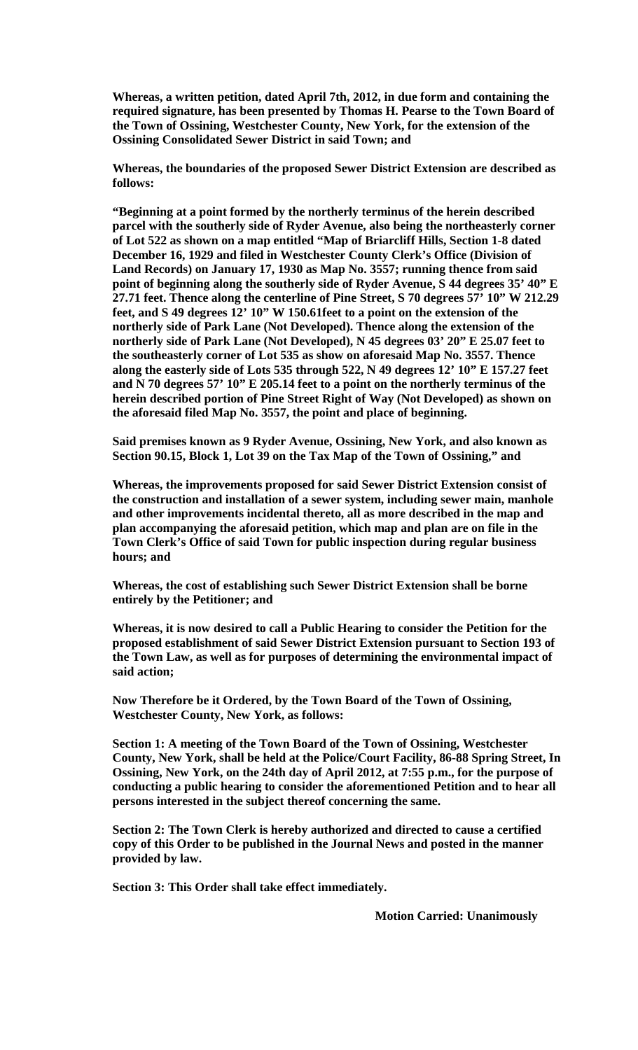**Whereas, a written petition, dated April 7th, 2012, in due form and containing the required signature, has been presented by Thomas H. Pearse to the Town Board of the Town of Ossining, Westchester County, New York, for the extension of the Ossining Consolidated Sewer District in said Town; and** 

**Whereas, the boundaries of the proposed Sewer District Extension are described as follows:** 

**"Beginning at a point formed by the northerly terminus of the herein described parcel with the southerly side of Ryder Avenue, also being the northeasterly corner of Lot 522 as shown on a map entitled "Map of Briarcliff Hills, Section 1-8 dated December 16, 1929 and filed in Westchester County Clerk's Office (Division of Land Records) on January 17, 1930 as Map No. 3557; running thence from said point of beginning along the southerly side of Ryder Avenue, S 44 degrees 35' 40" E 27.71 feet. Thence along the centerline of Pine Street, S 70 degrees 57' 10" W 212.29 feet, and S 49 degrees 12' 10" W 150.61feet to a point on the extension of the northerly side of Park Lane (Not Developed). Thence along the extension of the northerly side of Park Lane (Not Developed), N 45 degrees 03' 20" E 25.07 feet to the southeasterly corner of Lot 535 as show on aforesaid Map No. 3557. Thence along the easterly side of Lots 535 through 522, N 49 degrees 12' 10" E 157.27 feet and N 70 degrees 57' 10" E 205.14 feet to a point on the northerly terminus of the herein described portion of Pine Street Right of Way (Not Developed) as shown on the aforesaid filed Map No. 3557, the point and place of beginning.** 

**Said premises known as 9 Ryder Avenue, Ossining, New York, and also known as Section 90.15, Block 1, Lot 39 on the Tax Map of the Town of Ossining," and** 

**Whereas, the improvements proposed for said Sewer District Extension consist of the construction and installation of a sewer system, including sewer main, manhole and other improvements incidental thereto, all as more described in the map and plan accompanying the aforesaid petition, which map and plan are on file in the Town Clerk's Office of said Town for public inspection during regular business hours; and**

**Whereas, the cost of establishing such Sewer District Extension shall be borne entirely by the Petitioner; and** 

**Whereas, it is now desired to call a Public Hearing to consider the Petition for the proposed establishment of said Sewer District Extension pursuant to Section 193 of the Town Law, as well as for purposes of determining the environmental impact of said action;** 

**Now Therefore be it Ordered, by the Town Board of the Town of Ossining, Westchester County, New York, as follows:** 

**Section 1: A meeting of the Town Board of the Town of Ossining, Westchester County, New York, shall be held at the Police/Court Facility, 86-88 Spring Street, In Ossining, New York, on the 24th day of April 2012, at 7:55 p.m., for the purpose of conducting a public hearing to consider the aforementioned Petition and to hear all persons interested in the subject thereof concerning the same.** 

**Section 2: The Town Clerk is hereby authorized and directed to cause a certified copy of this Order to be published in the Journal News and posted in the manner provided by law.** 

**Section 3: This Order shall take effect immediately.**

**Motion Carried: Unanimously**